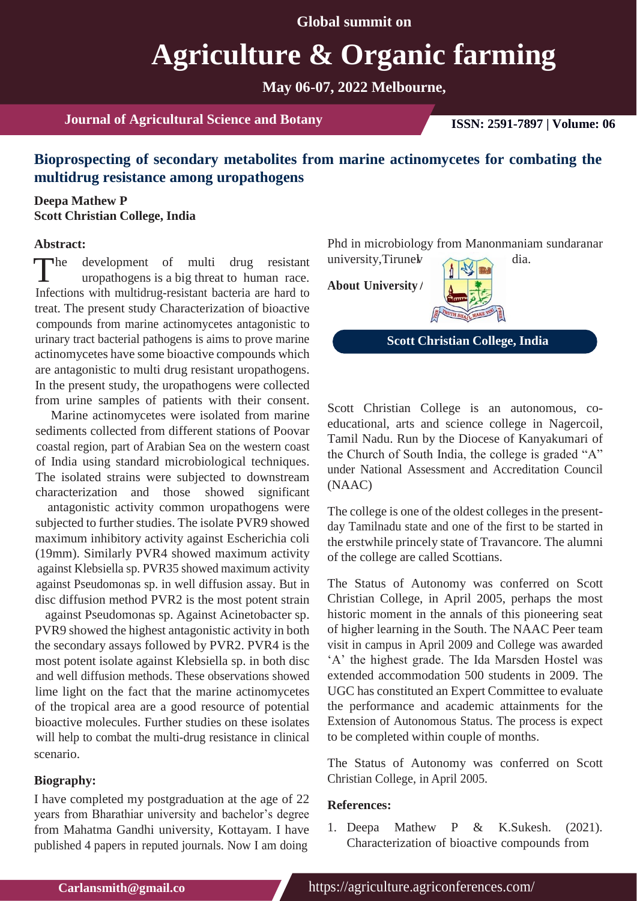**Global summit on**

# **Agriculture & Organic farming**

**May 06-07, 2022 Melbourne,**

**Journal of Agricultural Science and Botany ISSN: 2591-7897 | Volume: 06**

# **Bioprospecting of secondary metabolites from marine actinomycetes for combating the multidrug resistance among uropathogens**

### **Deepa Mathew P Scott Christian College, India**

#### **Abstract:**

The development of multi drug resistant university, Tirune with propartiogens is a big threat to human race.<br>Infections with multidrus resistant because one head to **About University** uropathogens is a big threat to human race. Infections with multidrug-resistant bacteria are hard to treat. The present study Characterization of bioactive compounds from marine actinomycetes antagonistic to urinary tract bacterial pathogens is aims to prove marine actinomycetes have some bioactive compounds which are antagonistic to multi drug resistant uropathogens. In the present study, the uropathogens were collected from urine samples of patients with their consent.

Marine actinomycetes were isolated from marine sediments collected from different stations of Poovar coastal region, part of Arabian Sea on the western coast of India using standard microbiological techniques. The isolated strains were subjected to downstream characterization and those showed significant

antagonistic activity common uropathogens were subjected to further studies. The isolate PVR9 showed maximum inhibitory activity against Escherichia coli (19mm). Similarly PVR4 showed maximum activity against Klebsiella sp. PVR35 showed maximum activity against Pseudomonas sp. in well diffusion assay. But in disc diffusion method PVR2 is the most potent strain

against Pseudomonas sp. Against Acinetobacter sp. PVR9 showed the highest antagonistic activity in both the secondary assays followed by PVR2. PVR4 is the most potent isolate against Klebsiella sp. in both disc and well diffusion methods. These observations showed lime light on the fact that the marine actinomycetes of the tropical area are a good resource of potential bioactive molecules. Further studies on these isolates will help to combat the multi-drug resistance in clinical scenario.

#### **Biography:**

I have completed my postgraduation at the age of 22 years from Bharathiar university and bachelor's degree from Mahatma Gandhi university, Kottayam. I have published 4 papers in reputed journals. Now I am doing

Phd in microbiology from Manonmaniam sundaranar university, Tirunel dia.

**About University**



**Scott Christian College, India**

Scott Christian College is an autonomous, coeducational, arts and science college in Nagercoil, Tamil Nadu. Run by the Diocese of Kanyakumari of the Church of South India, the college is graded "A" under National Assessment and Accreditation Council (NAAC)

The college is one of the oldest colleges in the presentday Tamilnadu state and one of the first to be started in the erstwhile princely state of Travancore. The alumni of the college are called Scottians.

The Status of Autonomy was conferred on Scott Christian College, in April 2005, perhaps the most historic moment in the annals of this pioneering seat of higher learning in the South. The NAAC Peer team visit in campus in April 2009 and College was awarded 'A' the highest grade. The Ida Marsden Hostel was extended accommodation 500 students in 2009. The UGC has constituted an Expert Committee to evaluate the performance and academic attainments for the Extension of Autonomous Status. The process is expect to be completed within couple of months.

The Status of Autonomy was conferred on Scott Christian College, in April 2005.

#### **References:**

1. Deepa Mathew P & K.Sukesh. (2021). Characterization of bioactive compounds from